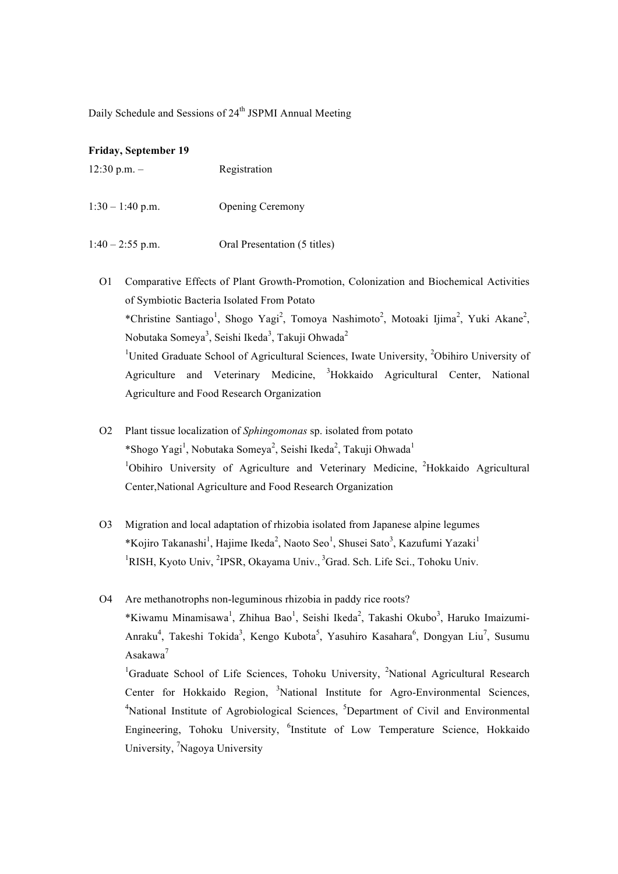Daily Schedule and Sessions of 24<sup>th</sup> JSPMI Annual Meeting

### **Friday, September 19**

| $12:30$ p.m. $-$ | Registration |
|------------------|--------------|
|                  |              |

1:30 – 1:40 p.m. Opening Ceremony

 $1:40 - 2:55$  p.m. Oral Presentation (5 titles)

- O1 Comparative Effects of Plant Growth-Promotion, Colonization and Biochemical Activities of Symbiotic Bacteria Isolated From Potato \*Christine Santiago<sup>1</sup>, Shogo Yagi<sup>2</sup>, Tomoya Nashimoto<sup>2</sup>, Motoaki Ijima<sup>2</sup>, Yuki Akane<sup>2</sup>, Nobutaka Someya<sup>3</sup>, Seishi Ikeda<sup>3</sup>, Takuji Ohwada<sup>2</sup> <sup>1</sup>United Graduate School of Agricultural Sciences, Iwate University, <sup>2</sup>Obihiro University of Agriculture and Veterinary Medicine, <sup>3</sup>Hokkaido Agricultural Center, National Agriculture and Food Research Organization
- O2 Plant tissue localization of *Sphingomonas* sp. isolated from potato \*Shogo Yagi<sup>1</sup>, Nobutaka Someya<sup>2</sup>, Seishi Ikeda<sup>2</sup>, Takuji Ohwada<sup>1</sup> <sup>1</sup>Obihiro University of Agriculture and Veterinary Medicine, <sup>2</sup>Hokkaido Agricultural Center,National Agriculture and Food Research Organization
- O3 Migration and local adaptation of rhizobia isolated from Japanese alpine legumes \*Kojiro Takanashi<sup>1</sup>, Hajime Ikeda<sup>2</sup>, Naoto Seo<sup>1</sup>, Shusei Sato<sup>3</sup>, Kazufumi Yazaki<sup>1</sup> <sup>1</sup>RISH, Kyoto Univ, <sup>2</sup>IPSR, Okayama Univ., <sup>3</sup>Grad. Sch. Life Sci., Tohoku Univ.

O4 Are methanotrophs non-leguminous rhizobia in paddy rice roots? \*Kiwamu Minamisawa<sup>1</sup>, Zhihua Bao<sup>1</sup>, Seishi Ikeda<sup>2</sup>, Takashi Okubo<sup>3</sup>, Haruko Imaizumi-Anraku<sup>4</sup>, Takeshi Tokida<sup>3</sup>, Kengo Kubota<sup>5</sup>, Yasuhiro Kasahara<sup>6</sup>, Dongyan Liu<sup>7</sup>, Susumu Asakawa<sup>7</sup>

<sup>1</sup>Graduate School of Life Sciences, Tohoku University, <sup>2</sup>National Agricultural Research Center for Hokkaido Region, <sup>3</sup>National Institute for Agro-Environmental Sciences, <sup>4</sup>National Institute of Agrobiological Sciences, <sup>5</sup>Department of Civil and Environmental Engineering, Tohoku University, <sup>6</sup>Institute of Low Temperature Science, Hokkaido University, <sup>7</sup>Nagoya University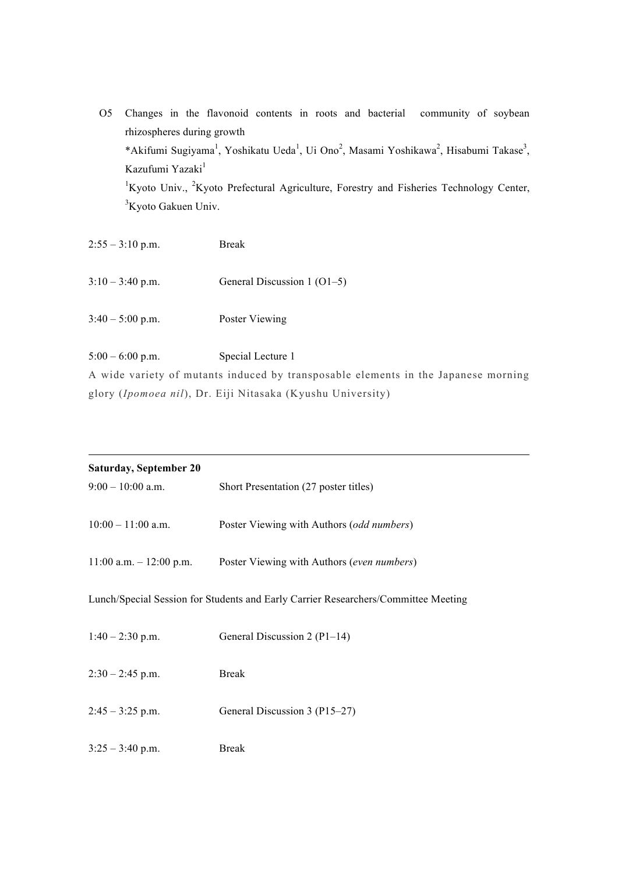- O5 Changes in the flavonoid contents in roots and bacterial community of soybean rhizospheres during growth \*Akifumi Sugiyama<sup>1</sup>, Yoshikatu Ueda<sup>1</sup>, Ui Ono<sup>2</sup>, Masami Yoshikawa<sup>2</sup>, Hisabumi Takase<sup>3</sup>, Kazufumi Yazaki<sup>1</sup> <sup>1</sup>Kyoto Univ., <sup>2</sup>Kyoto Prefectural Agriculture, Forestry and Fisheries Technology Center, <sup>3</sup>Kyoto Gakuen Univ.
- $2:55 3:10$  p.m. Break 3:10 – 3:40 p.m. General Discussion 1 (O1–5)
- 3:40 5:00 p.m. Poster Viewing

5:00 – 6:00 p.m. Special Lecture 1 A wide variety of mutants induced by transposable elements in the Japanese morning glory (*Ipomoea nil*), Dr. Eiji Nitasaka (Kyushu University)

| <b>Saturday, September 20</b> |                                                                                    |
|-------------------------------|------------------------------------------------------------------------------------|
| $9:00 - 10:00$ a.m.           | Short Presentation (27 poster titles)                                              |
| $10:00 - 11:00$ a.m.          | Poster Viewing with Authors (odd numbers)                                          |
| $11:00$ a.m. $-12:00$ p.m.    | Poster Viewing with Authors (even numbers)                                         |
|                               | Lunch/Special Session for Students and Early Carrier Researchers/Committee Meeting |
| $1:40 - 2:30$ p.m.            | General Discussion 2 (P1-14)                                                       |
| $2:30 - 2:45$ p.m.            | <b>Break</b>                                                                       |
| $2:45 - 3:25$ p.m.            | General Discussion 3 (P15–27)                                                      |
| $3:25 - 3:40$ p.m.            | <b>Break</b>                                                                       |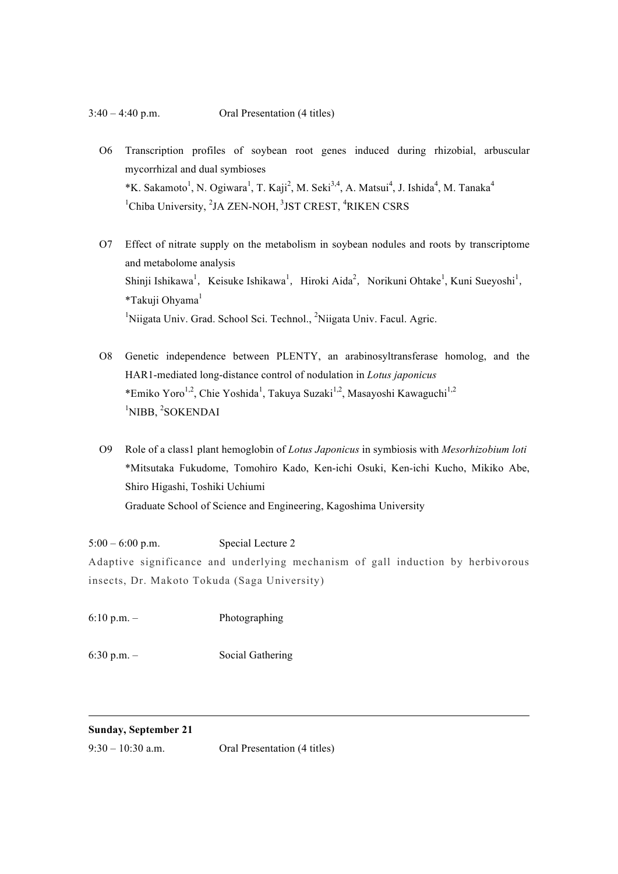- O6 Transcription profiles of soybean root genes induced during rhizobial, arbuscular mycorrhizal and dual symbioses \*K. Sakamoto<sup>1</sup>, N. Ogiwara<sup>1</sup>, T. Kaji<sup>2</sup>, M. Seki<sup>3,4</sup>, A. Matsui<sup>4</sup>, J. Ishida<sup>4</sup>, M. Tanaka<sup>4</sup> <sup>1</sup>Chiba University, <sup>2</sup>JA ZEN-NOH, <sup>3</sup>JST CREST, <sup>4</sup>RIKEN CSRS
- O7 Effect of nitrate supply on the metabolism in soybean nodules and roots by transcriptome and metabolome analysis Shinji Ishikawa<sup>1</sup>, Keisuke Ishikawa<sup>1</sup>, Hiroki Aida<sup>2</sup>, Norikuni Ohtake<sup>1</sup>, Kuni Sueyoshi<sup>1</sup>, \*Takuji Ohyama<sup>1</sup> <sup>1</sup>Niigata Univ. Grad. School Sci. Technol., <sup>2</sup>Niigata Univ. Facul. Agric.
- O8 Genetic independence between PLENTY, an arabinosyltransferase homolog, and the HAR1-mediated long-distance control of nodulation in *Lotus japonicus* \*Emiko Yoro<sup>1,2</sup>, Chie Yoshida<sup>1</sup>, Takuya Suzaki<sup>1,2</sup>, Masayoshi Kawaguchi<sup>1,2</sup> <sup>1</sup>NIBB, <sup>2</sup>SOKENDAI
- O9 Role of a class1 plant hemoglobin of *Lotus Japonicus* in symbiosis with *Mesorhizobium loti* \*Mitsutaka Fukudome, Tomohiro Kado, Ken-ichi Osuki, Ken-ichi Kucho, Mikiko Abe, Shiro Higashi, Toshiki Uchiumi Graduate School of Science and Engineering, Kagoshima University

5:00 – 6:00 p.m. Special Lecture 2 Adaptive significance and underlying mechanism of gall induction by herbivorous insects, Dr. Makoto Tokuda (Saga University)

6:10 p.m. – Photographing

6:30 p.m. – Social Gathering

# **Sunday, September 21**

9:30 – 10:30 a.m. Oral Presentation (4 titles)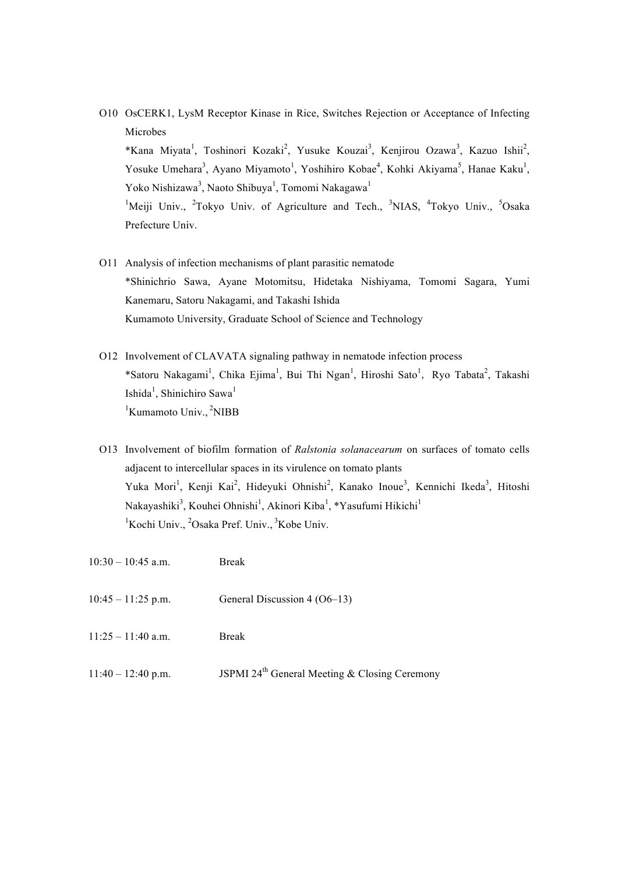O10 OsCERK1, LysM Receptor Kinase in Rice, Switches Rejection or Acceptance of Infecting Microbes

\*Kana Miyata<sup>1</sup>, Toshinori Kozaki<sup>2</sup>, Yusuke Kouzai<sup>3</sup>, Kenjirou Ozawa<sup>3</sup>, Kazuo Ishii<sup>2</sup>, Yosuke Umehara<sup>3</sup>, Ayano Miyamoto<sup>1</sup>, Yoshihiro Kobae<sup>4</sup>, Kohki Akiyama<sup>5</sup>, Hanae Kaku<sup>1</sup>, Yoko Nishizawa<sup>3</sup>, Naoto Shibuya<sup>1</sup>, Tomomi Nakagawa<sup>1</sup>

<sup>1</sup>Meiji Univ., <sup>2</sup>Tokyo Univ. of Agriculture and Tech., <sup>3</sup>NIAS, <sup>4</sup>Tokyo Univ., <sup>5</sup>Osaka Prefecture Univ.

- O11 Analysis of infection mechanisms of plant parasitic nematode \*Shinichrio Sawa, Ayane Motomitsu, Hidetaka Nishiyama, Tomomi Sagara, Yumi Kanemaru, Satoru Nakagami, and Takashi Ishida Kumamoto University, Graduate School of Science and Technology
- O12 Involvement of CLAVATA signaling pathway in nematode infection process \*Satoru Nakagami<sup>1</sup>, Chika Ejima<sup>1</sup>, Bui Thi Ngan<sup>1</sup>, Hiroshi Sato<sup>1</sup>, Ryo Tabata<sup>2</sup>, Takashi Ishida<sup>1</sup>, Shinichiro Sawa<sup>1</sup> <sup>1</sup>Kumamoto Univ., <sup>2</sup>NIBB
- O13 Involvement of biofilm formation of *Ralstonia solanacearum* on surfaces of tomato cells adjacent to intercellular spaces in its virulence on tomato plants Yuka Mori<sup>1</sup>, Kenji Kai<sup>2</sup>, Hideyuki Ohnishi<sup>2</sup>, Kanako Inoue<sup>3</sup>, Kennichi Ikeda<sup>3</sup>, Hitoshi Nakayashiki<sup>3</sup>, Kouhei Ohnishi<sup>1</sup>, Akinori Kiba<sup>1</sup>, \*Yasufumi Hikichi<sup>1</sup> <sup>1</sup>Kochi Univ., <sup>2</sup>Osaka Pref. Univ., <sup>3</sup>Kobe Univ.
- 10:30 10:45 a.m. Break
- 10:45 11:25 p.m. General Discussion 4 (O6–13)
- 11:25 11:40 a.m. Break
- 11:40 12:40 p.m. JSPMI 24<sup>th</sup> General Meeting & Closing Ceremony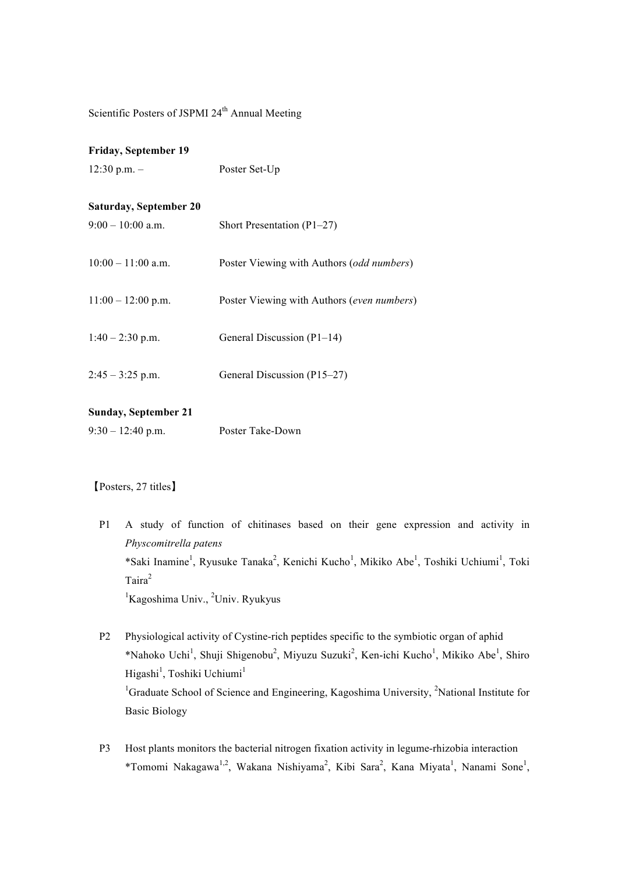Scientific Posters of JSPMI 24<sup>th</sup> Annual Meeting

### **Friday, September 19**

12:30 p.m. – Poster Set-Up

# **Saturday, September 20**

| $9:00 - 10:00$ a.m.  | Short Presentation $(P1-27)$               |
|----------------------|--------------------------------------------|
| $10:00 - 11:00$ a.m. | Poster Viewing with Authors (odd numbers)  |
| $11:00 - 12:00$ p.m. | Poster Viewing with Authors (even numbers) |
| $1:40 - 2:30$ p.m.   | General Discussion (P1–14)                 |
| $2:45 - 3:25$ p.m.   | General Discussion (P15–27)                |

# **Sunday, September 21**

| $9:30 - 12:40$ p.m. | Poster Take-Down |
|---------------------|------------------|
|---------------------|------------------|

# 【Posters, 27 titles】

P1 A study of function of chitinases based on their gene expression and activity in *Physcomitrella patens* \*Saki Inamine<sup>1</sup>, Ryusuke Tanaka<sup>2</sup>, Kenichi Kucho<sup>1</sup>, Mikiko Abe<sup>1</sup>, Toshiki Uchiumi<sup>1</sup>, Toki Taira<sup>2</sup> <sup>1</sup>Kagoshima Univ., <sup>2</sup>Univ. Ryukyus

- P2 Physiological activity of Cystine-rich peptides specific to the symbiotic organ of aphid \*Nahoko Uchi<sup>1</sup>, Shuji Shigenobu<sup>2</sup>, Miyuzu Suzuki<sup>2</sup>, Ken-ichi Kucho<sup>1</sup>, Mikiko Abe<sup>1</sup>, Shiro Higashi<sup>1</sup>, Toshiki Uchiumi<sup>1</sup> <sup>1</sup>Graduate School of Science and Engineering, Kagoshima University, <sup>2</sup>National Institute for Basic Biology
- P3 Host plants monitors the bacterial nitrogen fixation activity in legume-rhizobia interaction \*Tomomi Nakagawa<sup>1,2</sup>, Wakana Nishiyama<sup>2</sup>, Kibi Sara<sup>2</sup>, Kana Miyata<sup>1</sup>, Nanami Sone<sup>1</sup>,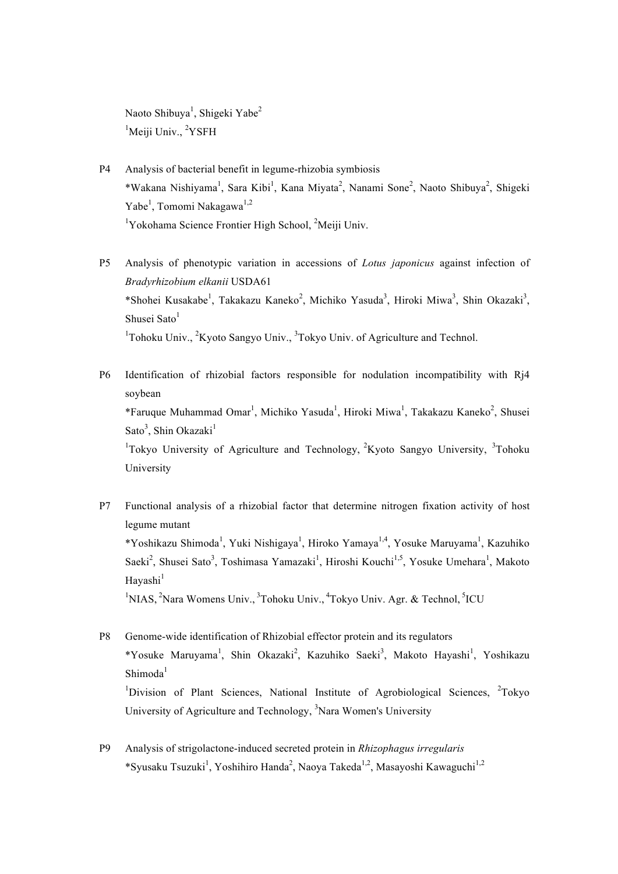Naoto Shibuya<sup>1</sup>, Shigeki Yabe<sup>2</sup> <sup>1</sup>Meiji Univ., <sup>2</sup>YSFH

- P4 Analysis of bacterial benefit in legume-rhizobia symbiosis \*Wakana Nishiyama<sup>1</sup>, Sara Kibi<sup>1</sup>, Kana Miyata<sup>2</sup>, Nanami Sone<sup>2</sup>, Naoto Shibuya<sup>2</sup>, Shigeki Yabe<sup>1</sup>, Tomomi Nakagawa<sup>1,2</sup> <sup>1</sup>Yokohama Science Frontier High School, <sup>2</sup>Meiji Univ.
- P5 Analysis of phenotypic variation in accessions of *Lotus japonicus* against infection of *Bradyrhizobium elkanii* USDA61 \*Shohei Kusakabe<sup>1</sup>, Takakazu Kaneko<sup>2</sup>, Michiko Yasuda<sup>3</sup>, Hiroki Miwa<sup>3</sup>, Shin Okazaki<sup>3</sup>, Shusei Sato $<sup>1</sup>$ </sup>  $1$ Tohoku Univ.,  $2$ Kyoto Sangyo Univ.,  $3$ Tokyo Univ. of Agriculture and Technol.
- P6 Identification of rhizobial factors responsible for nodulation incompatibility with Rj4 soybean \*Faruque Muhammad Omar<sup>1</sup>, Michiko Yasuda<sup>1</sup>, Hiroki Miwa<sup>1</sup>, Takakazu Kaneko<sup>2</sup>, Shusei Sato<sup>3</sup>, Shin Okazaki<sup>1</sup> <sup>1</sup>Tokyo University of Agriculture and Technology, <sup>2</sup>Kyoto Sangyo University, <sup>3</sup>Tohoku University
- P7 Functional analysis of a rhizobial factor that determine nitrogen fixation activity of host legume mutant \*Yoshikazu Shimoda<sup>1</sup>, Yuki Nishigaya<sup>1</sup>, Hiroko Yamaya<sup>1,4</sup>, Yosuke Maruyama<sup>1</sup>, Kazuhiko Saeki<sup>2</sup>, Shusei Sato<sup>3</sup>, Toshimasa Yamazaki<sup>1</sup>, Hiroshi Kouchi<sup>1,5</sup>, Yosuke Umehara<sup>1</sup>, Makoto Hayashi $<sup>1</sup>$ </sup> <sup>1</sup>NIAS, <sup>2</sup>Nara Womens Univ., <sup>3</sup>Tohoku Univ., <sup>4</sup>Tokyo Univ. Agr. & Technol, <sup>5</sup>ICU
- P8 Genome-wide identification of Rhizobial effector protein and its regulators \*Yosuke Maruyama<sup>1</sup>, Shin Okazaki<sup>2</sup>, Kazuhiko Saeki<sup>3</sup>, Makoto Hayashi<sup>1</sup>, Yoshikazu  $Shimoda<sup>1</sup>$ <sup>1</sup>Division of Plant Sciences, National Institute of Agrobiological Sciences, <sup>2</sup>Tokyo University of Agriculture and Technology, <sup>3</sup>Nara Women's University
- P9 Analysis of strigolactone-induced secreted protein in *Rhizophagus irregularis* \*Syusaku Tsuzuki<sup>1</sup>, Yoshihiro Handa<sup>2</sup>, Naoya Takeda<sup>1,2</sup>, Masayoshi Kawaguchi<sup>1,2</sup>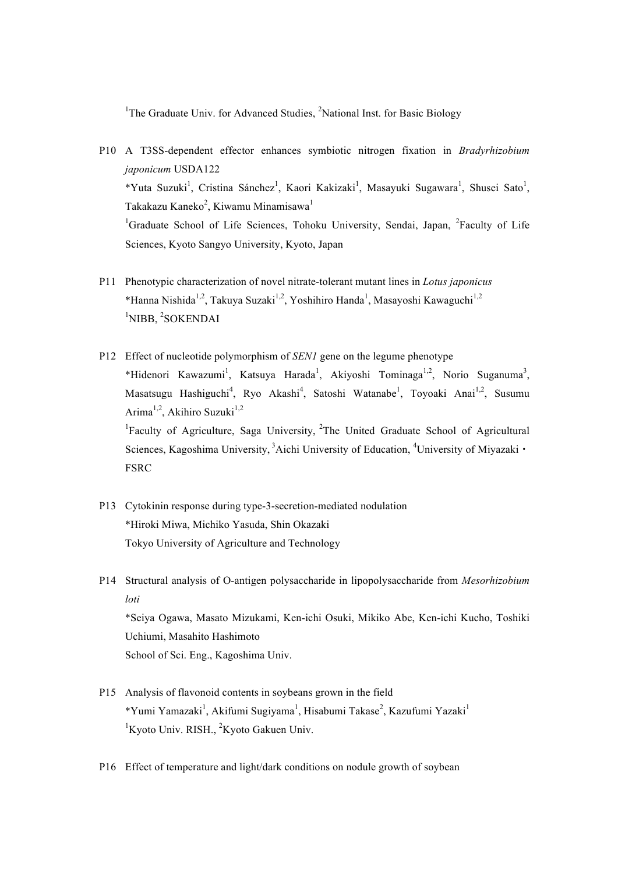<sup>1</sup>The Graduate Univ. for Advanced Studies, <sup>2</sup>National Inst. for Basic Biology

- P10 A T3SS-dependent effector enhances symbiotic nitrogen fixation in *Bradyrhizobium japonicum* USDA122 \*Yuta Suzuki<sup>1</sup>, Cristina Sánchez<sup>1</sup>, Kaori Kakizaki<sup>1</sup>, Masayuki Sugawara<sup>1</sup>, Shusei Sato<sup>1</sup>, Takakazu Kaneko<sup>2</sup>, Kiwamu Minamisawa<sup>1</sup> <sup>1</sup>Graduate School of Life Sciences, Tohoku University, Sendai, Japan, <sup>2</sup>Faculty of Life Sciences, Kyoto Sangyo University, Kyoto, Japan
- P11 Phenotypic characterization of novel nitrate-tolerant mutant lines in *Lotus japonicus* \*Hanna Nishida<sup>1,2</sup>, Takuya Suzaki<sup>1,2</sup>, Yoshihiro Handa<sup>1</sup>, Masayoshi Kawaguchi<sup>1,2</sup> <sup>1</sup>NIBB, <sup>2</sup>SOKENDAI
- P12 Effect of nucleotide polymorphism of *SEN1* gene on the legume phenotype \*Hidenori Kawazumi<sup>1</sup>, Katsuya Harada<sup>1</sup>, Akiyoshi Tominaga<sup>1,2</sup>, Norio Suganuma<sup>3</sup>, Masatsugu Hashiguchi<sup>4</sup>, Ryo Akashi<sup>4</sup>, Satoshi Watanabe<sup>1</sup>, Toyoaki Anai<sup>1,2</sup>, Susumu Arima<sup>1,2</sup>, Akihiro Suzuki<sup>1,2</sup>

<sup>1</sup>Faculty of Agriculture, Saga University, <sup>2</sup>The United Graduate School of Agricultural Sciences, Kagoshima University, <sup>3</sup>Aichi University of Education, <sup>4</sup>University of Miyazaki · **FSRC** 

- P13 Cytokinin response during type-3-secretion-mediated nodulation \*Hiroki Miwa, Michiko Yasuda, Shin Okazaki Tokyo University of Agriculture and Technology
- P14 Structural analysis of O-antigen polysaccharide in lipopolysaccharide from *Mesorhizobium loti*

\*Seiya Ogawa, Masato Mizukami, Ken-ichi Osuki, Mikiko Abe, Ken-ichi Kucho, Toshiki Uchiumi, Masahito Hashimoto School of Sci. Eng., Kagoshima Univ.

- P15 Analysis of flavonoid contents in soybeans grown in the field \*Yumi Yamazaki<sup>1</sup>, Akifumi Sugiyama<sup>1</sup>, Hisabumi Takase<sup>2</sup>, Kazufumi Yazaki<sup>1</sup> <sup>1</sup>Kyoto Univ. RISH., <sup>2</sup>Kyoto Gakuen Univ.
- P16 Effect of temperature and light/dark conditions on nodule growth of soybean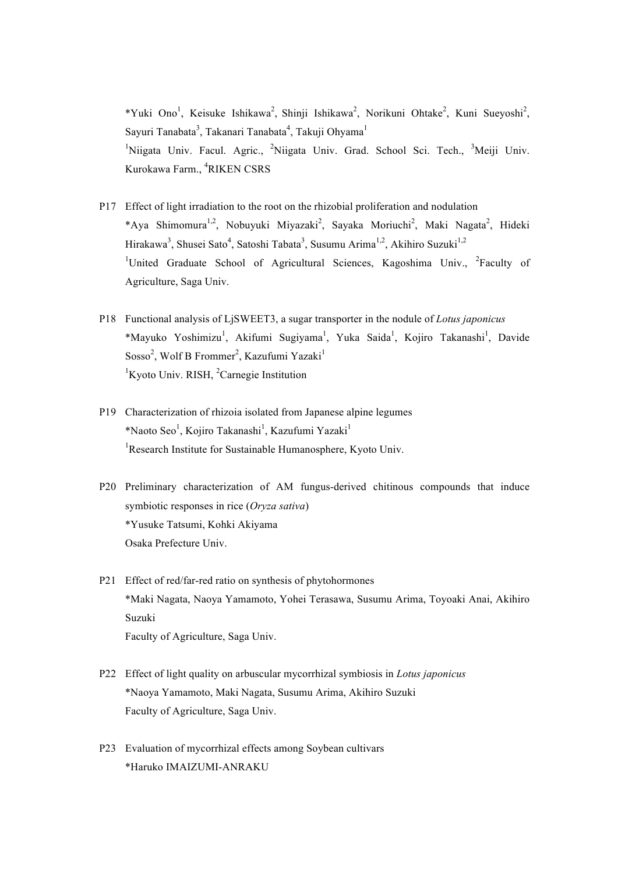\*Yuki Ono<sup>1</sup>, Keisuke Ishikawa<sup>2</sup>, Shinji Ishikawa<sup>2</sup>, Norikuni Ohtake<sup>2</sup>, Kuni Sueyoshi<sup>2</sup>, Sayuri Tanabata<sup>3</sup>, Takanari Tanabata<sup>4</sup>, Takuji Ohyama<sup>1</sup> <sup>1</sup>Niigata Univ. Facul. Agric., <sup>2</sup>Niigata Univ. Grad. School Sci. Tech., <sup>3</sup>Meiji Univ. Kurokawa Farm., <sup>4</sup> RIKEN CSRS

- P17 Effect of light irradiation to the root on the rhizobial proliferation and nodulation \*Aya Shimomura<sup>1,2</sup>, Nobuyuki Miyazaki<sup>2</sup>, Sayaka Moriuchi<sup>2</sup>, Maki Nagata<sup>2</sup>, Hideki Hirakawa<sup>3</sup>, Shusei Sato<sup>4</sup>, Satoshi Tabata<sup>3</sup>, Susumu Arima<sup>1,2</sup>, Akihiro Suzuki<sup>1,2</sup> <sup>1</sup>United Graduate School of Agricultural Sciences, Kagoshima Univ., <sup>2</sup>Faculty of Agriculture, Saga Univ.
- P18 Functional analysis of LjSWEET3, a sugar transporter in the nodule of *Lotus japonicus* \*Mayuko Yoshimizu<sup>1</sup>, Akifumi Sugiyama<sup>1</sup>, Yuka Saida<sup>1</sup>, Kojiro Takanashi<sup>1</sup>, Davide Sosso<sup>2</sup>, Wolf B Frommer<sup>2</sup>, Kazufumi Yazaki<sup>1</sup> <sup>1</sup>Kyoto Univ. RISH, <sup>2</sup>Carnegie Institution
- P19 Characterization of rhizoia isolated from Japanese alpine legumes \*Naoto Seo<sup>1</sup>, Kojiro Takanashi<sup>1</sup>, Kazufumi Yazaki<sup>1</sup> <sup>1</sup>Research Institute for Sustainable Humanosphere, Kyoto Univ.
- P20 Preliminary characterization of AM fungus-derived chitinous compounds that induce symbiotic responses in rice (*Oryza sativa*) \*Yusuke Tatsumi, Kohki Akiyama Osaka Prefecture Univ.
- P21 Effect of red/far-red ratio on synthesis of phytohormones \*Maki Nagata, Naoya Yamamoto, Yohei Terasawa, Susumu Arima, Toyoaki Anai, Akihiro Suzuki Faculty of Agriculture, Saga Univ.
- P22 Effect of light quality on arbuscular mycorrhizal symbiosis in *Lotus japonicus* \*Naoya Yamamoto, Maki Nagata, Susumu Arima, Akihiro Suzuki Faculty of Agriculture, Saga Univ.
- P23 Evaluation of mycorrhizal effects among Soybean cultivars \*Haruko IMAIZUMI-ANRAKU